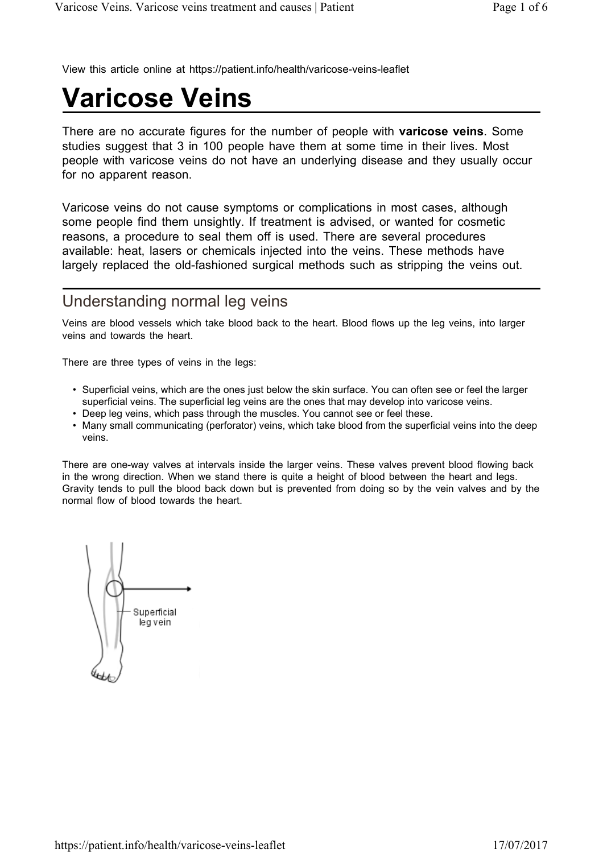View this article online at https://patient.info/health/varicose-veins-leaflet

# **Varicose Veins**

There are no accurate figures for the number of people with **varicose veins**. Some studies suggest that 3 in 100 people have them at some time in their lives. Most people with varicose veins do not have an underlying disease and they usually occur for no apparent reason.

Varicose veins do not cause symptoms or complications in most cases, although some people find them unsightly. If treatment is advised, or wanted for cosmetic reasons, a procedure to seal them off is used. There are several procedures available: heat, lasers or chemicals injected into the veins. These methods have largely replaced the old-fashioned surgical methods such as stripping the veins out.

## Understanding normal leg veins

Veins are blood vessels which take blood back to the heart. Blood flows up the leg veins, into larger veins and towards the heart.

There are three types of veins in the legs:

- Superficial veins, which are the ones just below the skin surface. You can often see or feel the larger superficial veins. The superficial leg veins are the ones that may develop into varicose veins.
- Deep leg veins, which pass through the muscles. You cannot see or feel these.
- Many small communicating (perforator) veins, which take blood from the superficial veins into the deep veins.

There are one-way valves at intervals inside the larger veins. These valves prevent blood flowing back in the wrong direction. When we stand there is quite a height of blood between the heart and legs. Gravity tends to pull the blood back down but is prevented from doing so by the vein valves and by the normal flow of blood towards the heart.

Superficial leg vein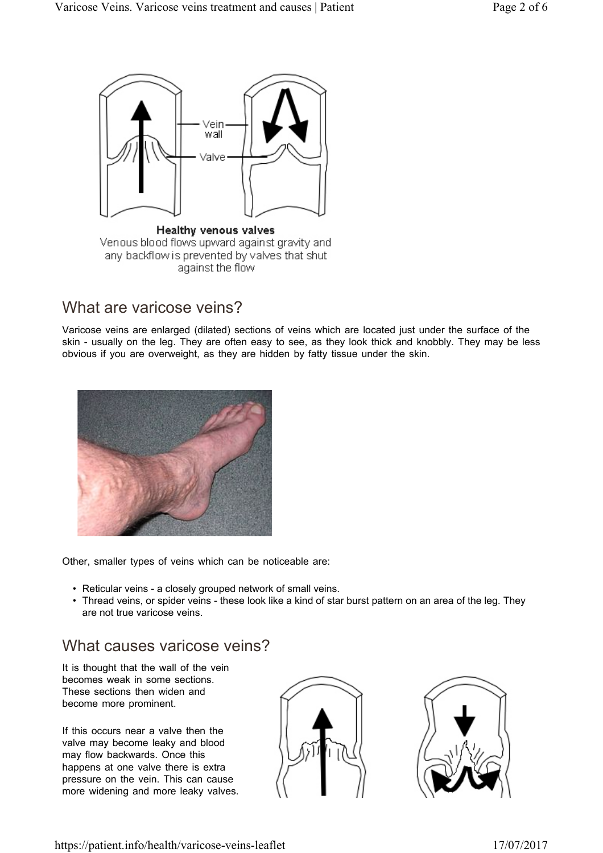

# What are varicose veins?

Varicose veins are enlarged (dilated) sections of veins which are located just under the surface of the skin - usually on the leg. They are often easy to see, as they look thick and knobbly. They may be less obvious if you are overweight, as they are hidden by fatty tissue under the skin.



Other, smaller types of veins which can be noticeable are:

- Reticular veins a closely grouped network of small veins.
- Thread veins, or spider veins these look like a kind of star burst pattern on an area of the leg. They are not true varicose veins.

## What causes varicose veins?

It is thought that the wall of the vein becomes weak in some sections. These sections then widen and become more prominent.

If this occurs near a valve then the valve may become leaky and blood may flow backwards. Once this happens at one valve there is extra pressure on the vein. This can cause more widening and more leaky valves.



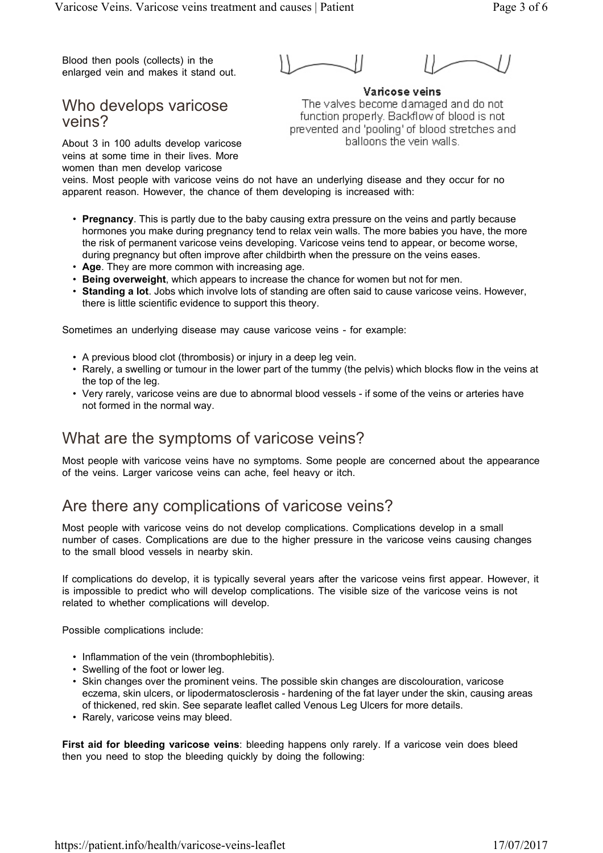Blood then pools (collects) in the enlarged vein and makes it stand out.

Who develops varicose veins?

Varicose veins The valves become damaged and do not function properly. Backflow of blood is not prevented and 'pooling' of blood stretches and balloons the vein walls.

About 3 in 100 adults develop varicose veins at some time in their lives. More women than men develop varicose

veins. Most people with varicose veins do not have an underlying disease and they occur for no apparent reason. However, the chance of them developing is increased with:

- **Pregnancy**. This is partly due to the baby causing extra pressure on the veins and partly because hormones you make during pregnancy tend to relax vein walls. The more babies you have, the more the risk of permanent varicose veins developing. Varicose veins tend to appear, or become worse, during pregnancy but often improve after childbirth when the pressure on the veins eases.
- **Age**. They are more common with increasing age.
- **Being overweight**, which appears to increase the chance for women but not for men.
- **Standing a lot**. Jobs which involve lots of standing are often said to cause varicose veins. However, there is little scientific evidence to support this theory.

Sometimes an underlying disease may cause varicose veins - for example:

- A previous blood clot (thrombosis) or injury in a deep leg vein.
- Rarely, a swelling or tumour in the lower part of the tummy (the pelvis) which blocks flow in the veins at the top of the leg.
- Very rarely, varicose veins are due to abnormal blood vessels if some of the veins or arteries have not formed in the normal way.

## What are the symptoms of varicose veins?

Most people with varicose veins have no symptoms. Some people are concerned about the appearance of the veins. Larger varicose veins can ache, feel heavy or itch.

## Are there any complications of varicose veins?

Most people with varicose veins do not develop complications. Complications develop in a small number of cases. Complications are due to the higher pressure in the varicose veins causing changes to the small blood vessels in nearby skin.

If complications do develop, it is typically several years after the varicose veins first appear. However, it is impossible to predict who will develop complications. The visible size of the varicose veins is not related to whether complications will develop.

Possible complications include:

- Inflammation of the vein (thrombophlebitis).
- Swelling of the foot or lower leg.
- Skin changes over the prominent veins. The possible skin changes are discolouration, varicose eczema, skin ulcers, or lipodermatosclerosis - hardening of the fat layer under the skin, causing areas of thickened, red skin. See separate leaflet called Venous Leg Ulcers for more details.
- Rarely, varicose veins may bleed.

**First aid for bleeding varicose veins**: bleeding happens only rarely. If a varicose vein does bleed then you need to stop the bleeding quickly by doing the following: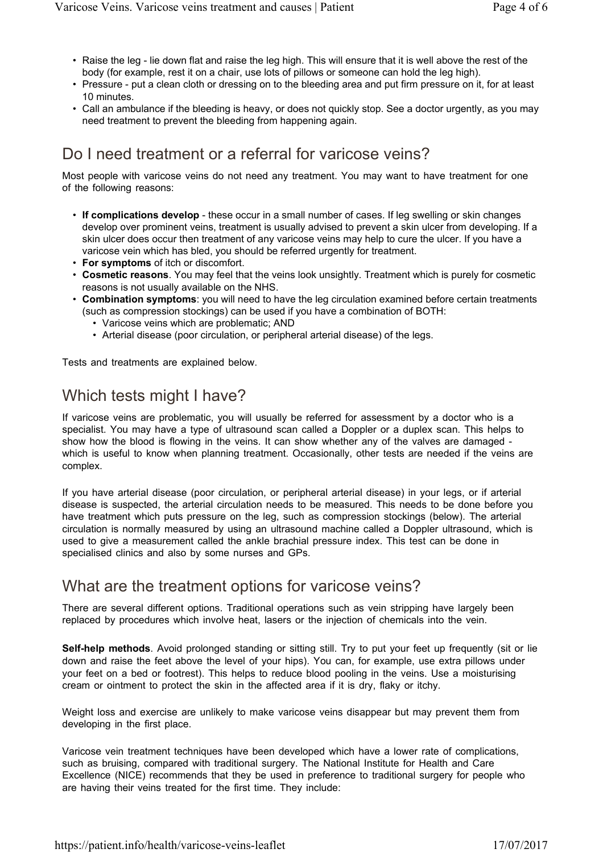- Raise the leg lie down flat and raise the leg high. This will ensure that it is well above the rest of the body (for example, rest it on a chair, use lots of pillows or someone can hold the leg high).
- Pressure put a clean cloth or dressing on to the bleeding area and put firm pressure on it, for at least 10 minutes.
- Call an ambulance if the bleeding is heavy, or does not quickly stop. See a doctor urgently, as you may need treatment to prevent the bleeding from happening again.

# Do I need treatment or a referral for varicose veins?

Most people with varicose veins do not need any treatment. You may want to have treatment for one of the following reasons:

- **If complications develop** these occur in a small number of cases. If leg swelling or skin changes develop over prominent veins, treatment is usually advised to prevent a skin ulcer from developing. If a skin ulcer does occur then treatment of any varicose veins may help to cure the ulcer. If you have a varicose vein which has bled, you should be referred urgently for treatment.
- **For symptoms** of itch or discomfort.
- **Cosmetic reasons**. You may feel that the veins look unsightly. Treatment which is purely for cosmetic reasons is not usually available on the NHS.
- **Combination symptoms**: you will need to have the leg circulation examined before certain treatments (such as compression stockings) can be used if you have a combination of BOTH:
	- Varicose veins which are problematic; AND
	- Arterial disease (poor circulation, or peripheral arterial disease) of the legs.

Tests and treatments are explained below.

# Which tests might I have?

If varicose veins are problematic, you will usually be referred for assessment by a doctor who is a specialist. You may have a type of ultrasound scan called a Doppler or a duplex scan. This helps to show how the blood is flowing in the veins. It can show whether any of the valves are damaged which is useful to know when planning treatment. Occasionally, other tests are needed if the veins are complex.

If you have arterial disease (poor circulation, or peripheral arterial disease) in your legs, or if arterial disease is suspected, the arterial circulation needs to be measured. This needs to be done before you have treatment which puts pressure on the leg, such as compression stockings (below). The arterial circulation is normally measured by using an ultrasound machine called a Doppler ultrasound, which is used to give a measurement called the ankle brachial pressure index. This test can be done in specialised clinics and also by some nurses and GPs.

## What are the treatment options for varicose veins?

There are several different options. Traditional operations such as vein stripping have largely been replaced by procedures which involve heat, lasers or the injection of chemicals into the vein.

**Self-help methods**. Avoid prolonged standing or sitting still. Try to put your feet up frequently (sit or lie down and raise the feet above the level of your hips). You can, for example, use extra pillows under your feet on a bed or footrest). This helps to reduce blood pooling in the veins. Use a moisturising cream or ointment to protect the skin in the affected area if it is dry, flaky or itchy.

Weight loss and exercise are unlikely to make varicose veins disappear but may prevent them from developing in the first place.

Varicose vein treatment techniques have been developed which have a lower rate of complications, such as bruising, compared with traditional surgery. The National Institute for Health and Care Excellence (NICE) recommends that they be used in preference to traditional surgery for people who are having their veins treated for the first time. They include: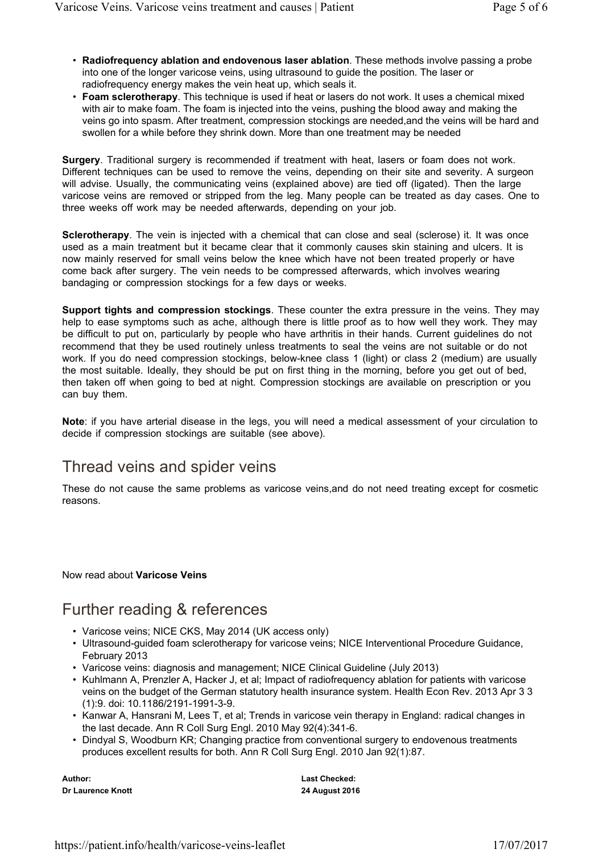- **Radiofrequency ablation and endovenous laser ablation**. These methods involve passing a probe into one of the longer varicose veins, using ultrasound to guide the position. The laser or radiofrequency energy makes the vein heat up, which seals it.
- **Foam sclerotherapy**. This technique is used if heat or lasers do not work. It uses a chemical mixed with air to make foam. The foam is injected into the veins, pushing the blood away and making the veins go into spasm. After treatment, compression stockings are needed,and the veins will be hard and swollen for a while before they shrink down. More than one treatment may be needed

**Surgery**. Traditional surgery is recommended if treatment with heat, lasers or foam does not work. Different techniques can be used to remove the veins, depending on their site and severity. A surgeon will advise. Usually, the communicating veins (explained above) are tied off (ligated). Then the large varicose veins are removed or stripped from the leg. Many people can be treated as day cases. One to three weeks off work may be needed afterwards, depending on your job.

**Sclerotherapy**. The vein is injected with a chemical that can close and seal (sclerose) it. It was once used as a main treatment but it became clear that it commonly causes skin staining and ulcers. It is now mainly reserved for small veins below the knee which have not been treated properly or have come back after surgery. The vein needs to be compressed afterwards, which involves wearing bandaging or compression stockings for a few days or weeks.

**Support tights and compression stockings**. These counter the extra pressure in the veins. They may help to ease symptoms such as ache, although there is little proof as to how well they work. They may be difficult to put on, particularly by people who have arthritis in their hands. Current guidelines do not recommend that they be used routinely unless treatments to seal the veins are not suitable or do not work. If you do need compression stockings, below-knee class 1 (light) or class 2 (medium) are usually the most suitable. Ideally, they should be put on first thing in the morning, before you get out of bed, then taken off when going to bed at night. Compression stockings are available on prescription or you can buy them.

**Note**: if you have arterial disease in the legs, you will need a medical assessment of your circulation to decide if compression stockings are suitable (see above).

## Thread veins and spider veins

These do not cause the same problems as varicose veins,and do not need treating except for cosmetic reasons.

Now read about **Varicose Veins**

## Further reading & references

- Varicose veins; NICE CKS, May 2014 (UK access only)
- Ultrasound-guided foam sclerotherapy for varicose veins; NICE Interventional Procedure Guidance, February 2013
- Varicose veins: diagnosis and management; NICE Clinical Guideline (July 2013)
- Kuhlmann A, Prenzler A, Hacker J, et al; Impact of radiofrequency ablation for patients with varicose veins on the budget of the German statutory health insurance system. Health Econ Rev. 2013 Apr 3 3 (1):9. doi: 10.1186/2191-1991-3-9.
- Kanwar A, Hansrani M, Lees T, et al; Trends in varicose vein therapy in England: radical changes in the last decade. Ann R Coll Surg Engl. 2010 May 92(4):341-6.
- Dindyal S, Woodburn KR; Changing practice from conventional surgery to endovenous treatments produces excellent results for both. Ann R Coll Surg Engl. 2010 Jan 92(1):87.

**Author: Dr Laurence Knott** **Last Checked: 24 August 2016**